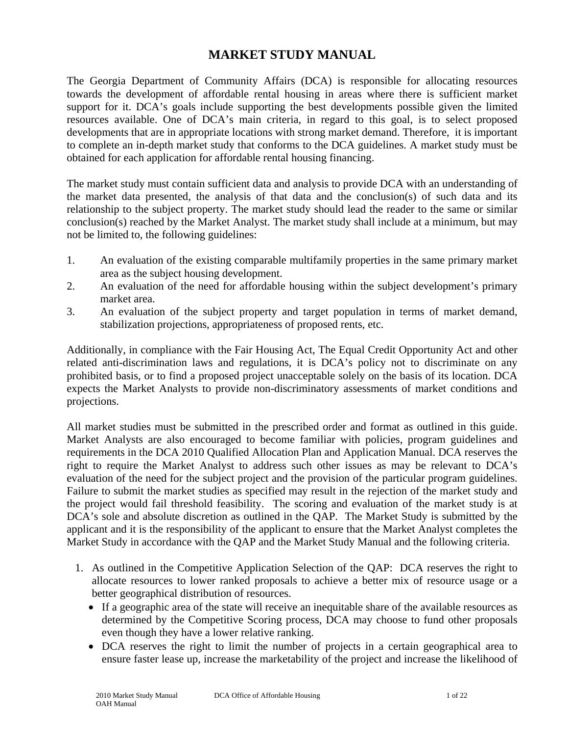# **MARKET STUDY MANUAL**

The Georgia Department of Community Affairs (DCA) is responsible for allocating resources towards the development of affordable rental housing in areas where there is sufficient market support for it. DCA's goals include supporting the best developments possible given the limited resources available. One of DCA's main criteria, in regard to this goal, is to select proposed developments that are in appropriate locations with strong market demand. Therefore, it is important to complete an in-depth market study that conforms to the DCA guidelines. A market study must be obtained for each application for affordable rental housing financing.

The market study must contain sufficient data and analysis to provide DCA with an understanding of the market data presented, the analysis of that data and the conclusion(s) of such data and its relationship to the subject property. The market study should lead the reader to the same or similar conclusion(s) reached by the Market Analyst. The market study shall include at a minimum, but may not be limited to, the following guidelines:

- 1. An evaluation of the existing comparable multifamily properties in the same primary market area as the subject housing development.
- 2. An evaluation of the need for affordable housing within the subject development's primary market area.
- 3. An evaluation of the subject property and target population in terms of market demand, stabilization projections, appropriateness of proposed rents, etc.

Additionally, in compliance with the Fair Housing Act, The Equal Credit Opportunity Act and other related anti-discrimination laws and regulations, it is DCA's policy not to discriminate on any prohibited basis, or to find a proposed project unacceptable solely on the basis of its location. DCA expects the Market Analysts to provide non-discriminatory assessments of market conditions and projections.

All market studies must be submitted in the prescribed order and format as outlined in this guide. Market Analysts are also encouraged to become familiar with policies, program guidelines and requirements in the DCA 2010 Qualified Allocation Plan and Application Manual. DCA reserves the right to require the Market Analyst to address such other issues as may be relevant to DCA's evaluation of the need for the subject project and the provision of the particular program guidelines. Failure to submit the market studies as specified may result in the rejection of the market study and the project would fail threshold feasibility. The scoring and evaluation of the market study is at DCA's sole and absolute discretion as outlined in the OAP. The Market Study is submitted by the applicant and it is the responsibility of the applicant to ensure that the Market Analyst completes the Market Study in accordance with the QAP and the Market Study Manual and the following criteria.

- 1. As outlined in the Competitive Application Selection of the QAP: DCA reserves the right to allocate resources to lower ranked proposals to achieve a better mix of resource usage or a better geographical distribution of resources.
	- If a geographic area of the state will receive an inequitable share of the available resources as determined by the Competitive Scoring process, DCA may choose to fund other proposals even though they have a lower relative ranking.
	- DCA reserves the right to limit the number of projects in a certain geographical area to ensure faster lease up, increase the marketability of the project and increase the likelihood of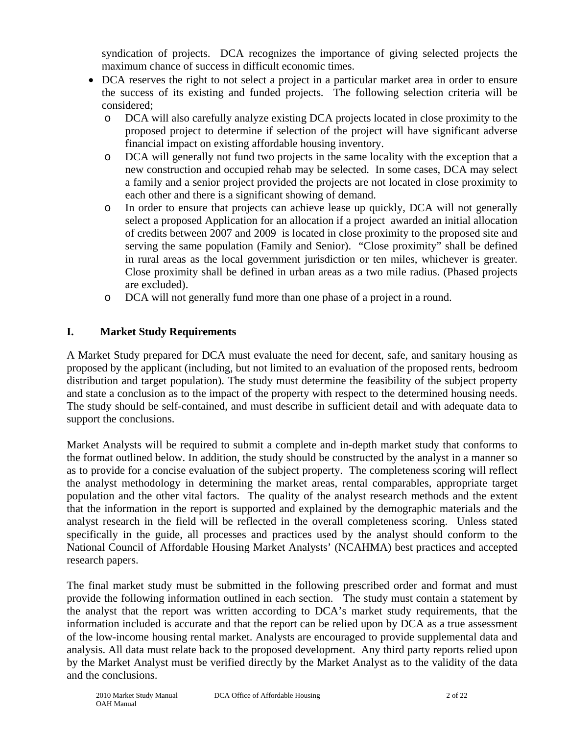syndication of projects. DCA recognizes the importance of giving selected projects the maximum chance of success in difficult economic times.

- DCA reserves the right to not select a project in a particular market area in order to ensure the success of its existing and funded projects. The following selection criteria will be considered;
	- o DCA will also carefully analyze existing DCA projects located in close proximity to the proposed project to determine if selection of the project will have significant adverse financial impact on existing affordable housing inventory.
	- o DCA will generally not fund two projects in the same locality with the exception that a new construction and occupied rehab may be selected. In some cases, DCA may select a family and a senior project provided the projects are not located in close proximity to each other and there is a significant showing of demand.
	- o In order to ensure that projects can achieve lease up quickly, DCA will not generally select a proposed Application for an allocation if a project awarded an initial allocation of credits between 2007 and 2009 is located in close proximity to the proposed site and serving the same population (Family and Senior). "Close proximity" shall be defined in rural areas as the local government jurisdiction or ten miles, whichever is greater. Close proximity shall be defined in urban areas as a two mile radius. (Phased projects are excluded).
	- o DCA will not generally fund more than one phase of a project in a round.

## **I. Market Study Requirements**

A Market Study prepared for DCA must evaluate the need for decent, safe, and sanitary housing as proposed by the applicant (including, but not limited to an evaluation of the proposed rents, bedroom distribution and target population). The study must determine the feasibility of the subject property and state a conclusion as to the impact of the property with respect to the determined housing needs. The study should be self-contained, and must describe in sufficient detail and with adequate data to support the conclusions.

Market Analysts will be required to submit a complete and in-depth market study that conforms to the format outlined below. In addition, the study should be constructed by the analyst in a manner so as to provide for a concise evaluation of the subject property. The completeness scoring will reflect the analyst methodology in determining the market areas, rental comparables, appropriate target population and the other vital factors. The quality of the analyst research methods and the extent that the information in the report is supported and explained by the demographic materials and the analyst research in the field will be reflected in the overall completeness scoring. Unless stated specifically in the guide, all processes and practices used by the analyst should conform to the National Council of Affordable Housing Market Analysts' (NCAHMA) best practices and accepted research papers.

The final market study must be submitted in the following prescribed order and format and must provide the following information outlined in each section. The study must contain a statement by the analyst that the report was written according to DCA's market study requirements, that the information included is accurate and that the report can be relied upon by DCA as a true assessment of the low-income housing rental market. Analysts are encouraged to provide supplemental data and analysis. All data must relate back to the proposed development. Any third party reports relied upon by the Market Analyst must be verified directly by the Market Analyst as to the validity of the data and the conclusions.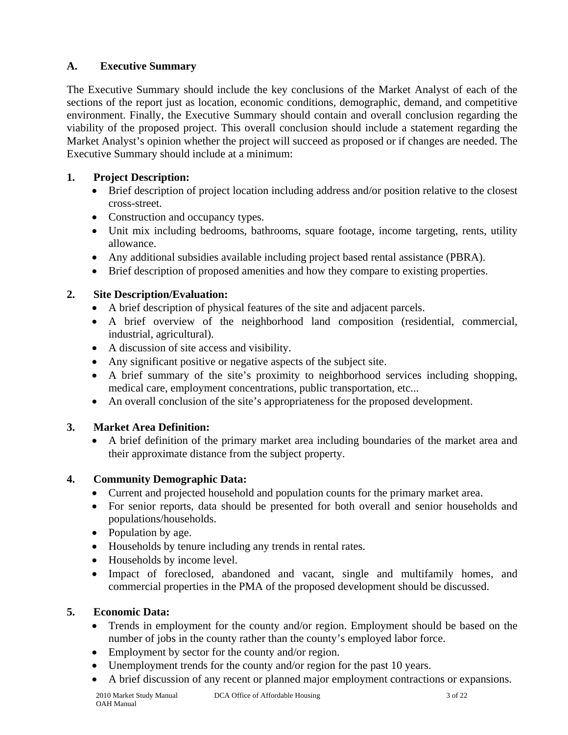## **A. Executive Summary**

The Executive Summary should include the key conclusions of the Market Analyst of each of the sections of the report just as location, economic conditions, demographic, demand, and competitive environment. Finally, the Executive Summary should contain and overall conclusion regarding the viability of the proposed project. This overall conclusion should include a statement regarding the Market Analyst's opinion whether the project will succeed as proposed or if changes are needed. The Executive Summary should include at a minimum:

# **1. Project Description:**

- Brief description of project location including address and/or position relative to the closest cross-street.
- Construction and occupancy types.
- Unit mix including bedrooms, bathrooms, square footage, income targeting, rents, utility allowance.
- Any additional subsidies available including project based rental assistance (PBRA).
- Brief description of proposed amenities and how they compare to existing properties.

# **2. Site Description/Evaluation:**

- A brief description of physical features of the site and adjacent parcels.
- A brief overview of the neighborhood land composition (residential, commercial, industrial, agricultural).
- A discussion of site access and visibility.
- Any significant positive or negative aspects of the subject site.
- A brief summary of the site's proximity to neighborhood services including shopping, medical care, employment concentrations, public transportation, etc...
- An overall conclusion of the site's appropriateness for the proposed development.

# **3. Market Area Definition:**

• A brief definition of the primary market area including boundaries of the market area and their approximate distance from the subject property.

# **4. Community Demographic Data:**

- Current and projected household and population counts for the primary market area.
- For senior reports, data should be presented for both overall and senior households and populations/households.
- Population by age.
- Households by tenure including any trends in rental rates.
- Households by income level.
- Impact of foreclosed, abandoned and vacant, single and multifamily homes, and commercial properties in the PMA of the proposed development should be discussed.

## **5. Economic Data:**

- Trends in employment for the county and/or region. Employment should be based on the number of jobs in the county rather than the county's employed labor force.
- Employment by sector for the county and/or region.
- Unemployment trends for the county and/or region for the past 10 years.
- A brief discussion of any recent or planned major employment contractions or expansions.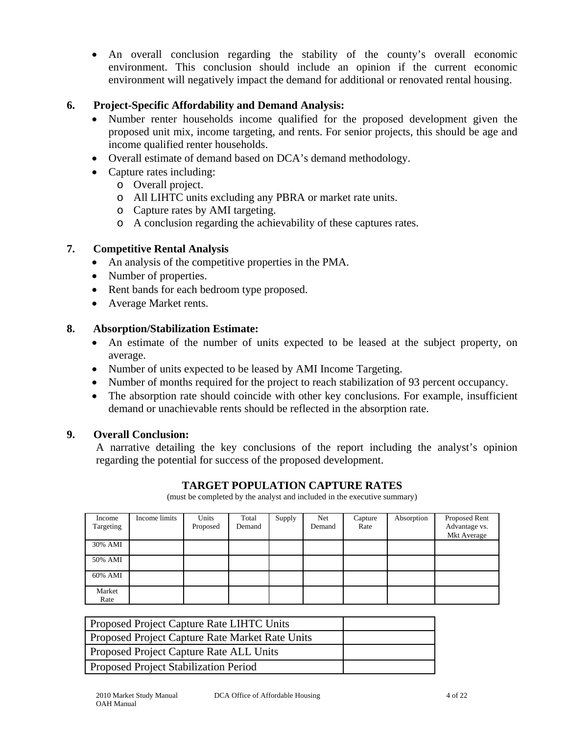• An overall conclusion regarding the stability of the county's overall economic environment. This conclusion should include an opinion if the current economic environment will negatively impact the demand for additional or renovated rental housing.

## **6. Project-Specific Affordability and Demand Analysis:**

- Number renter households income qualified for the proposed development given the proposed unit mix, income targeting, and rents. For senior projects, this should be age and income qualified renter households.
- Overall estimate of demand based on DCA's demand methodology.
- Capture rates including:
	- o Overall project.
	- o All LIHTC units excluding any PBRA or market rate units.
	- o Capture rates by AMI targeting.
	- o A conclusion regarding the achievability of these captures rates.

## **7. Competitive Rental Analysis**

- An analysis of the competitive properties in the PMA.
- Number of properties.
- Rent bands for each bedroom type proposed.
- Average Market rents.

#### **8. Absorption/Stabilization Estimate:**

- An estimate of the number of units expected to be leased at the subject property, on average.
- Number of units expected to be leased by AMI Income Targeting.
- Number of months required for the project to reach stabilization of 93 percent occupancy.
- The absorption rate should coincide with other key conclusions. For example, insufficient demand or unachievable rents should be reflected in the absorption rate.

#### **9. Overall Conclusion:**

A narrative detailing the key conclusions of the report including the analyst's opinion regarding the potential for success of the proposed development.

## **TARGET POPULATION CAPTURE RATES**

(must be completed by the analyst and included in the executive summary)

| Income<br>Targeting | Income limits | Units<br>Proposed | Total<br>Demand | Supply | Net<br>Demand | Capture<br>Rate | Absorption | Proposed Rent<br>Advantage vs.<br>Mkt Average |
|---------------------|---------------|-------------------|-----------------|--------|---------------|-----------------|------------|-----------------------------------------------|
| 30% AMI             |               |                   |                 |        |               |                 |            |                                               |
| 50% AMI             |               |                   |                 |        |               |                 |            |                                               |
| 60% AMI             |               |                   |                 |        |               |                 |            |                                               |
| Market<br>Rate      |               |                   |                 |        |               |                 |            |                                               |

| Proposed Project Capture Rate LIHTC Units       |  |
|-------------------------------------------------|--|
| Proposed Project Capture Rate Market Rate Units |  |
| <b>Proposed Project Capture Rate ALL Units</b>  |  |
| <b>Proposed Project Stabilization Period</b>    |  |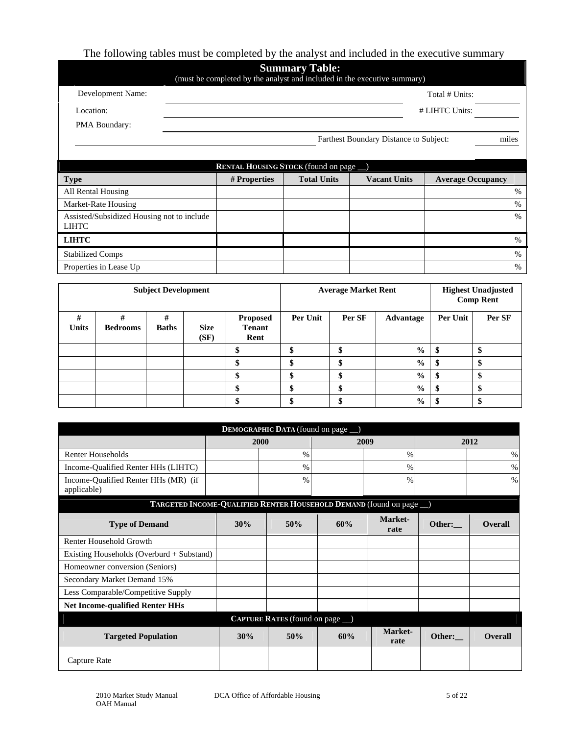# The following tables must be completed by the analyst and included in the executive summary

| <b>Summary Table:</b><br>(must be completed by the analyst and included in the executive summary) |              |                                               |                                        |                          |  |  |
|---------------------------------------------------------------------------------------------------|--------------|-----------------------------------------------|----------------------------------------|--------------------------|--|--|
| Development Name:                                                                                 |              |                                               |                                        | Total # Units:           |  |  |
| Location:                                                                                         |              |                                               |                                        | # LIHTC Units:           |  |  |
| PMA Boundary:                                                                                     |              |                                               |                                        |                          |  |  |
|                                                                                                   |              |                                               | Farthest Boundary Distance to Subject: | miles                    |  |  |
|                                                                                                   |              |                                               |                                        |                          |  |  |
|                                                                                                   |              | <b>RENTAL HOUSING STOCK</b> (found on page _) |                                        |                          |  |  |
| <b>Type</b>                                                                                       | # Properties | <b>Total Units</b>                            | <b>Vacant Units</b>                    | <b>Average Occupancy</b> |  |  |
| All Rental Housing                                                                                |              |                                               |                                        | $\%$                     |  |  |
| Market-Rate Housing                                                                               |              |                                               |                                        | $\%$                     |  |  |
| Assisted/Subsidized Housing not to include<br><b>LIHTC</b>                                        |              |                                               |                                        | $\frac{0}{0}$            |  |  |
| <b>LIHTC</b>                                                                                      |              |                                               |                                        | %                        |  |  |

| <b>Subject Development</b> |                      |                   |                     | <b>Average Market Rent</b>               |          |        | <b>Highest Unadjusted</b><br><b>Comp Rent</b> |          |        |
|----------------------------|----------------------|-------------------|---------------------|------------------------------------------|----------|--------|-----------------------------------------------|----------|--------|
| #<br><b>Units</b>          | #<br><b>Bedrooms</b> | #<br><b>Baths</b> | <b>Size</b><br>(SF) | <b>Proposed</b><br><b>Tenant</b><br>Rent | Per Unit | Per SF | Advantage                                     | Per Unit | Per SF |
|                            |                      |                   |                     | \$                                       |          | ď      | $\frac{0}{0}$                                 | ъ        |        |
|                            |                      |                   |                     | \$                                       | D        | D      | $\frac{0}{0}$                                 | Φ        | мD     |
|                            |                      |                   |                     | Φ<br>Φ                                   |          | ď      | $\frac{0}{0}$                                 | \$       |        |
|                            |                      |                   |                     |                                          |          |        | $\frac{6}{9}$                                 | \$       |        |
|                            |                      |                   |                     |                                          |          |        | $\frac{6}{9}$                                 |          |        |

Stabilized Comps  $\frac{1}{2}$  % Properties in Lease Up  $\%$ 

| DEMOGRAPHIC DATA (found on page _)                                  |     |              |     |                 |        |                |  |
|---------------------------------------------------------------------|-----|--------------|-----|-----------------|--------|----------------|--|
|                                                                     |     | 2000<br>2009 |     | 2012            |        |                |  |
| <b>Renter Households</b>                                            |     | $\%$         |     | $\%$            |        | $\%$           |  |
| Income-Qualified Renter HHs (LIHTC)                                 |     | $\%$         |     | $\%$            |        | $\%$           |  |
| Income-Qualified Renter HHs (MR) (if<br>applicable)                 |     | $\%$         |     | $\%$            |        | $\%$           |  |
| TARGETED INCOME-QUALIFIED RENTER HOUSEHOLD DEMAND (found on page _) |     |              |     |                 |        |                |  |
| <b>Type of Demand</b>                                               | 30% | 50%          | 60% | Market-<br>rate | Other: | Overall        |  |
| Renter Household Growth                                             |     |              |     |                 |        |                |  |
| Existing Households (Overburd + Substand)                           |     |              |     |                 |        |                |  |
| Homeowner conversion (Seniors)                                      |     |              |     |                 |        |                |  |
| Secondary Market Demand 15%                                         |     |              |     |                 |        |                |  |
| Less Comparable/Competitive Supply                                  |     |              |     |                 |        |                |  |
| <b>Net Income-qualified Renter HHs</b>                              |     |              |     |                 |        |                |  |
| <b>CAPTURE RATES</b> (found on page _)                              |     |              |     |                 |        |                |  |
| <b>Targeted Population</b>                                          | 30% | 50%          | 60% | Market-<br>rate | Other: | <b>Overall</b> |  |
| Capture Rate                                                        |     |              |     |                 |        |                |  |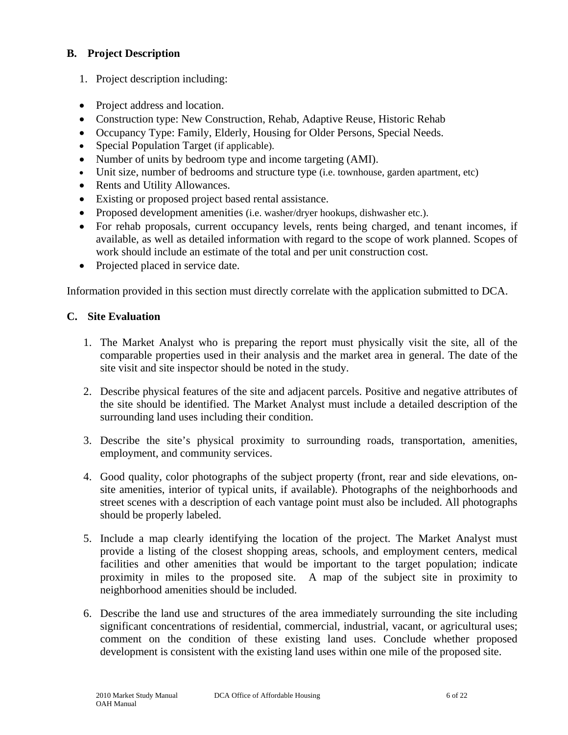## **B. Project Description**

- 1. Project description including:
- Project address and location.
- Construction type: New Construction, Rehab, Adaptive Reuse, Historic Rehab
- Occupancy Type: Family, Elderly, Housing for Older Persons, Special Needs.
- Special Population Target (if applicable).
- Number of units by bedroom type and income targeting (AMI).
- Unit size, number of bedrooms and structure type (i.e. townhouse, garden apartment, etc)
- Rents and Utility Allowances.
- Existing or proposed project based rental assistance.
- Proposed development amenities (i.e. washer/dryer hookups, dishwasher etc.).
- For rehab proposals, current occupancy levels, rents being charged, and tenant incomes, if available, as well as detailed information with regard to the scope of work planned. Scopes of work should include an estimate of the total and per unit construction cost.
- Projected placed in service date.

Information provided in this section must directly correlate with the application submitted to DCA.

## **C. Site Evaluation**

- 1. The Market Analyst who is preparing the report must physically visit the site, all of the comparable properties used in their analysis and the market area in general. The date of the site visit and site inspector should be noted in the study.
- 2. Describe physical features of the site and adjacent parcels. Positive and negative attributes of the site should be identified. The Market Analyst must include a detailed description of the surrounding land uses including their condition.
- 3. Describe the site's physical proximity to surrounding roads, transportation, amenities, employment, and community services.
- 4. Good quality, color photographs of the subject property (front, rear and side elevations, onsite amenities, interior of typical units, if available). Photographs of the neighborhoods and street scenes with a description of each vantage point must also be included. All photographs should be properly labeled.
- 5. Include a map clearly identifying the location of the project. The Market Analyst must provide a listing of the closest shopping areas, schools, and employment centers, medical facilities and other amenities that would be important to the target population; indicate proximity in miles to the proposed site. A map of the subject site in proximity to neighborhood amenities should be included.
- 6. Describe the land use and structures of the area immediately surrounding the site including significant concentrations of residential, commercial, industrial, vacant, or agricultural uses; comment on the condition of these existing land uses. Conclude whether proposed development is consistent with the existing land uses within one mile of the proposed site.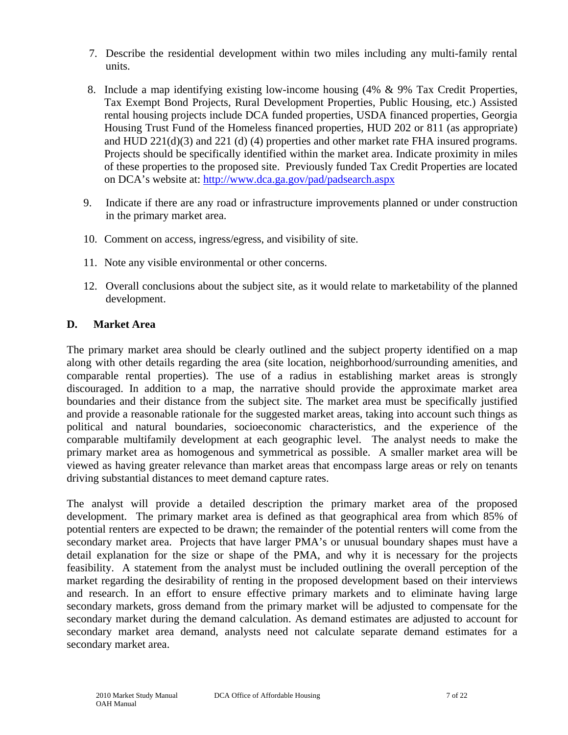- 7. Describe the residential development within two miles including any multi-family rental units.
- 8. Include a map identifying existing low-income housing (4% & 9% Tax Credit Properties, Tax Exempt Bond Projects, Rural Development Properties, Public Housing, etc.) Assisted rental housing projects include DCA funded properties, USDA financed properties, Georgia Housing Trust Fund of the Homeless financed properties, HUD 202 or 811 (as appropriate) and HUD 221(d)(3) and 221 (d) (4) properties and other market rate FHA insured programs. Projects should be specifically identified within the market area. Indicate proximity in miles of these properties to the proposed site. Previously funded Tax Credit Properties are located on DCA's website at:<http://www.dca.ga.gov/pad/padsearch.aspx>
- 9. Indicate if there are any road or infrastructure improvements planned or under construction in the primary market area.
- 10. Comment on access, ingress/egress, and visibility of site.
- 11. Note any visible environmental or other concerns.
- 12. Overall conclusions about the subject site, as it would relate to marketability of the planned development.

## **D. Market Area**

The primary market area should be clearly outlined and the subject property identified on a map along with other details regarding the area (site location, neighborhood/surrounding amenities, and comparable rental properties). The use of a radius in establishing market areas is strongly discouraged. In addition to a map, the narrative should provide the approximate market area boundaries and their distance from the subject site. The market area must be specifically justified and provide a reasonable rationale for the suggested market areas, taking into account such things as political and natural boundaries, socioeconomic characteristics, and the experience of the comparable multifamily development at each geographic level. The analyst needs to make the primary market area as homogenous and symmetrical as possible. A smaller market area will be viewed as having greater relevance than market areas that encompass large areas or rely on tenants driving substantial distances to meet demand capture rates.

The analyst will provide a detailed description the primary market area of the proposed development. The primary market area is defined as that geographical area from which 85% of potential renters are expected to be drawn; the remainder of the potential renters will come from the secondary market area. Projects that have larger PMA's or unusual boundary shapes must have a detail explanation for the size or shape of the PMA, and why it is necessary for the projects feasibility. A statement from the analyst must be included outlining the overall perception of the market regarding the desirability of renting in the proposed development based on their interviews and research. In an effort to ensure effective primary markets and to eliminate having large secondary markets, gross demand from the primary market will be adjusted to compensate for the secondary market during the demand calculation. As demand estimates are adjusted to account for secondary market area demand, analysts need not calculate separate demand estimates for a secondary market area.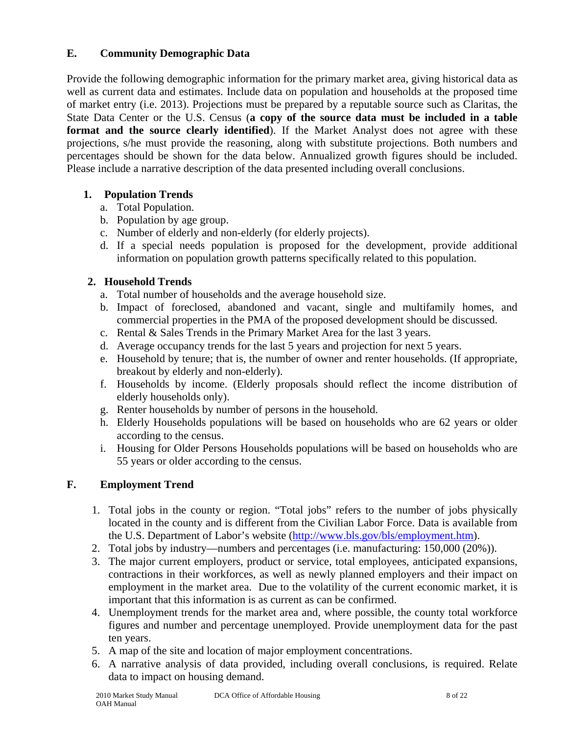## **E. Community Demographic Data**

Provide the following demographic information for the primary market area, giving historical data as well as current data and estimates. Include data on population and households at the proposed time of market entry (i.e. 2013). Projections must be prepared by a reputable source such as Claritas, the State Data Center or the U.S. Census (**a copy of the source data must be included in a table**  format and the source clearly identified). If the Market Analyst does not agree with these projections, s/he must provide the reasoning, along with substitute projections. Both numbers and percentages should be shown for the data below. Annualized growth figures should be included. Please include a narrative description of the data presented including overall conclusions.

## **1. Population Trends**

- a. Total Population.
- b. Population by age group.
- c. Number of elderly and non-elderly (for elderly projects).
- d. If a special needs population is proposed for the development, provide additional information on population growth patterns specifically related to this population.

## **2. Household Trends**

- a. Total number of households and the average household size.
- b. Impact of foreclosed, abandoned and vacant, single and multifamily homes, and commercial properties in the PMA of the proposed development should be discussed.
- c. Rental & Sales Trends in the Primary Market Area for the last 3 years.
- d. Average occupancy trends for the last 5 years and projection for next 5 years.
- e. Household by tenure; that is, the number of owner and renter households. (If appropriate, breakout by elderly and non-elderly).
- f. Households by income. (Elderly proposals should reflect the income distribution of elderly households only).
- g. Renter households by number of persons in the household.
- h. Elderly Households populations will be based on households who are 62 years or older according to the census.
- i. Housing for Older Persons Households populations will be based on households who are 55 years or older according to the census.

## **F. Employment Trend**

- 1. Total jobs in the county or region. "Total jobs" refers to the number of jobs physically located in the county and is different from the Civilian Labor Force. Data is available from the U.S. Department of Labor's website ([http://www.bls.gov/bls/employment.htm\)](http://www.bls.gov/bls/employment.htm).
- 2. Total jobs by industry—numbers and percentages (i.e. manufacturing: 150,000 (20%)).
- 3. The major current employers, product or service, total employees, anticipated expansions, contractions in their workforces, as well as newly planned employers and their impact on employment in the market area. Due to the volatility of the current economic market, it is important that this information is as current as can be confirmed.
- 4. Unemployment trends for the market area and, where possible, the county total workforce figures and number and percentage unemployed. Provide unemployment data for the past ten years.
- 5. A map of the site and location of major employment concentrations.
- 6. A narrative analysis of data provided, including overall conclusions, is required. Relate data to impact on housing demand.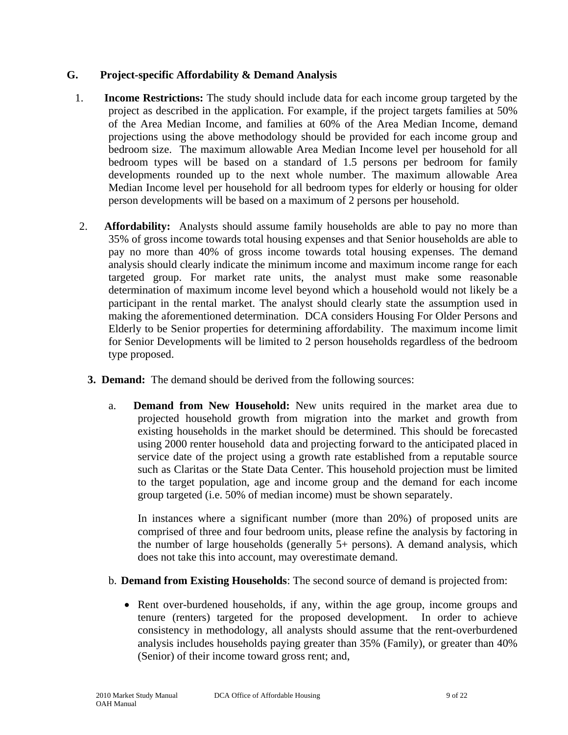#### **G. Project-specific Affordability & Demand Analysis**

- 1. **Income Restrictions:** The study should include data for each income group targeted by the project as described in the application. For example, if the project targets families at 50% of the Area Median Income, and families at 60% of the Area Median Income, demand projections using the above methodology should be provided for each income group and bedroom size. The maximum allowable Area Median Income level per household for all bedroom types will be based on a standard of 1.5 persons per bedroom for family developments rounded up to the next whole number. The maximum allowable Area Median Income level per household for all bedroom types for elderly or housing for older person developments will be based on a maximum of 2 persons per household.
- 2. **Affordability:** Analysts should assume family households are able to pay no more than 35% of gross income towards total housing expenses and that Senior households are able to pay no more than 40% of gross income towards total housing expenses. The demand analysis should clearly indicate the minimum income and maximum income range for each targeted group. For market rate units, the analyst must make some reasonable determination of maximum income level beyond which a household would not likely be a participant in the rental market. The analyst should clearly state the assumption used in making the aforementioned determination. DCA considers Housing For Older Persons and Elderly to be Senior properties for determining affordability. The maximum income limit for Senior Developments will be limited to 2 person households regardless of the bedroom type proposed.
	- **3. Demand:** The demand should be derived from the following sources:
		- a. **Demand from New Household:** New units required in the market area due to projected household growth from migration into the market and growth from existing households in the market should be determined. This should be forecasted using 2000 renter household data and projecting forward to the anticipated placed in service date of the project using a growth rate established from a reputable source such as Claritas or the State Data Center. This household projection must be limited to the target population, age and income group and the demand for each income group targeted (i.e. 50% of median income) must be shown separately.

In instances where a significant number (more than 20%) of proposed units are comprised of three and four bedroom units, please refine the analysis by factoring in the number of large households (generally 5+ persons). A demand analysis, which does not take this into account, may overestimate demand.

- b. **Demand from Existing Households**: The second source of demand is projected from:
	- Rent over-burdened households, if any, within the age group, income groups and tenure (renters) targeted for the proposed development. In order to achieve consistency in methodology, all analysts should assume that the rent-overburdened analysis includes households paying greater than 35% (Family), or greater than 40% (Senior) of their income toward gross rent; and,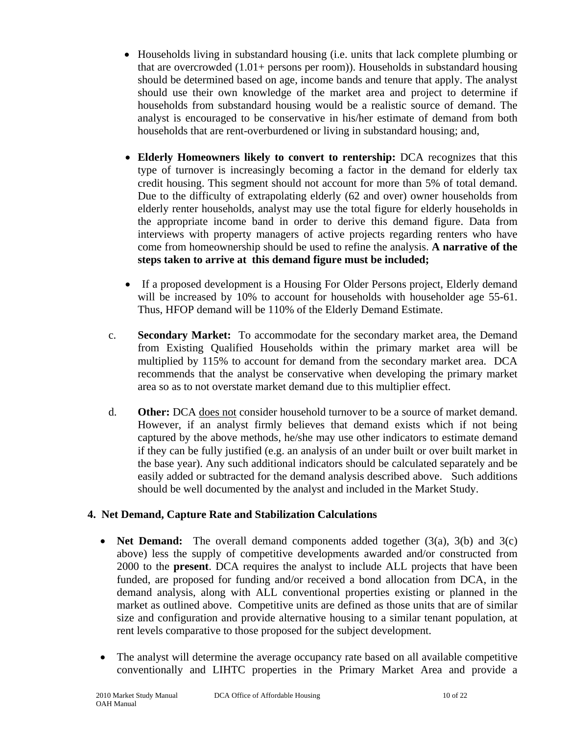- Households living in substandard housing (i.e. units that lack complete plumbing or that are overcrowded (1.01+ persons per room)). Households in substandard housing should be determined based on age, income bands and tenure that apply. The analyst should use their own knowledge of the market area and project to determine if households from substandard housing would be a realistic source of demand. The analyst is encouraged to be conservative in his/her estimate of demand from both households that are rent-overburdened or living in substandard housing; and,
- **Elderly Homeowners likely to convert to rentership:** DCA recognizes that this type of turnover is increasingly becoming a factor in the demand for elderly tax credit housing. This segment should not account for more than 5% of total demand. Due to the difficulty of extrapolating elderly (62 and over) owner households from elderly renter households, analyst may use the total figure for elderly households in the appropriate income band in order to derive this demand figure. Data from interviews with property managers of active projects regarding renters who have come from homeownership should be used to refine the analysis. **A narrative of the steps taken to arrive at this demand figure must be included;**
- If a proposed development is a Housing For Older Persons project, Elderly demand will be increased by 10% to account for households with householder age 55-61. Thus, HFOP demand will be 110% of the Elderly Demand Estimate.
- c. **Secondary Market:** To accommodate for the secondary market area, the Demand from Existing Qualified Households within the primary market area will be multiplied by 115% to account for demand from the secondary market area. DCA recommends that the analyst be conservative when developing the primary market area so as to not overstate market demand due to this multiplier effect.
- d. **Other:** DCA does not consider household turnover to be a source of market demand. However, if an analyst firmly believes that demand exists which if not being captured by the above methods, he/she may use other indicators to estimate demand if they can be fully justified (e.g. an analysis of an under built or over built market in the base year). Any such additional indicators should be calculated separately and be easily added or subtracted for the demand analysis described above. Such additions should be well documented by the analyst and included in the Market Study.

## **4. Net Demand, Capture Rate and Stabilization Calculations**

- **Net Demand:** The overall demand components added together (3(a), 3(b) and 3(c) above) less the supply of competitive developments awarded and/or constructed from 2000 to the **present**. DCA requires the analyst to include ALL projects that have been funded, are proposed for funding and/or received a bond allocation from DCA, in the demand analysis, along with ALL conventional properties existing or planned in the market as outlined above.Competitive units are defined as those units that are of similar size and configuration and provide alternative housing to a similar tenant population, at rent levels comparative to those proposed for the subject development.
- The analyst will determine the average occupancy rate based on all available competitive conventionally and LIHTC properties in the Primary Market Area and provide a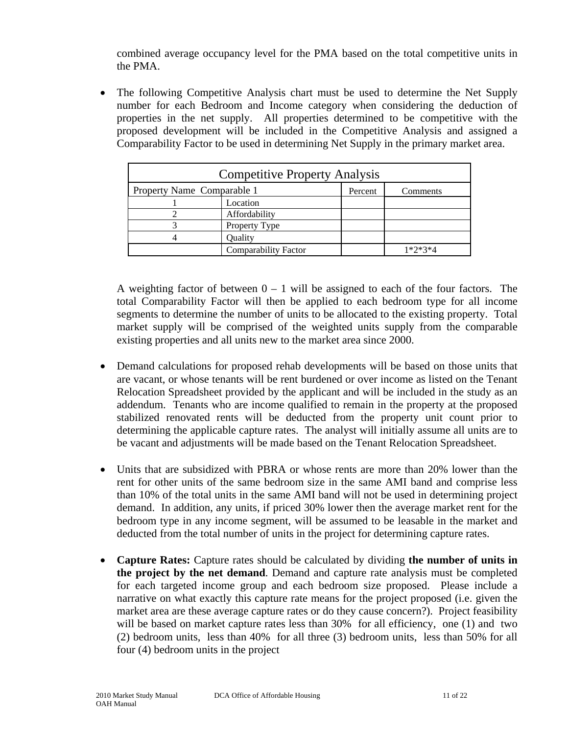combined average occupancy level for the PMA based on the total competitive units in the PMA.

• The following Competitive Analysis chart must be used to determine the Net Supply number for each Bedroom and Income category when considering the deduction of properties in the net supply. All properties determined to be competitive with the proposed development will be included in the Competitive Analysis and assigned a Comparability Factor to be used in determining Net Supply in the primary market area.

| <b>Competitive Property Analysis</b> |                      |          |           |  |  |  |
|--------------------------------------|----------------------|----------|-----------|--|--|--|
| Property Name Comparable 1           | Percent              | Comments |           |  |  |  |
|                                      | Location             |          |           |  |  |  |
|                                      | Affordability        |          |           |  |  |  |
|                                      | Property Type        |          |           |  |  |  |
|                                      | Ouality              |          |           |  |  |  |
|                                      | Comparability Factor |          | $1*2*3*4$ |  |  |  |

A weighting factor of between  $0 - 1$  will be assigned to each of the four factors. The total Comparability Factor will then be applied to each bedroom type for all income segments to determine the number of units to be allocated to the existing property. Total market supply will be comprised of the weighted units supply from the comparable existing properties and all units new to the market area since 2000.

- Demand calculations for proposed rehab developments will be based on those units that are vacant, or whose tenants will be rent burdened or over income as listed on the Tenant Relocation Spreadsheet provided by the applicant and will be included in the study as an addendum. Tenants who are income qualified to remain in the property at the proposed stabilized renovated rents will be deducted from the property unit count prior to determining the applicable capture rates. The analyst will initially assume all units are to be vacant and adjustments will be made based on the Tenant Relocation Spreadsheet.
- Units that are subsidized with PBRA or whose rents are more than 20% lower than the rent for other units of the same bedroom size in the same AMI band and comprise less than 10% of the total units in the same AMI band will not be used in determining project demand. In addition, any units, if priced 30% lower then the average market rent for the bedroom type in any income segment, will be assumed to be leasable in the market and deducted from the total number of units in the project for determining capture rates.
- **Capture Rates:** Capture rates should be calculated by dividing **the number of units in the project by the net demand**. Demand and capture rate analysis must be completed for each targeted income group and each bedroom size proposed. Please include a narrative on what exactly this capture rate means for the project proposed (i.e. given the market area are these average capture rates or do they cause concern?). Project feasibility will be based on market capture rates less than 30% for all efficiency, one (1) and two (2) bedroom units, less than 40% for all three (3) bedroom units, less than 50% for all four (4) bedroom units in the project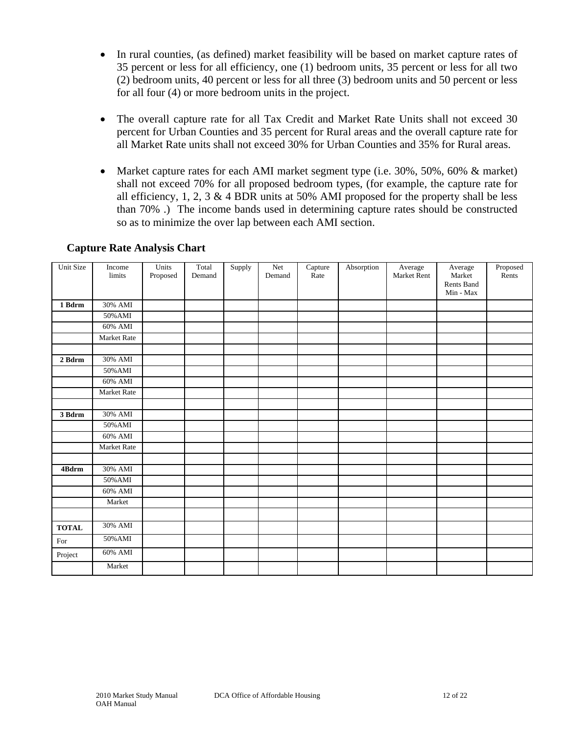- In rural counties, (as defined) market feasibility will be based on market capture rates of 35 percent or less for all efficiency, one (1) bedroom units, 35 percent or less for all two (2) bedroom units, 40 percent or less for all three (3) bedroom units and 50 percent or less for all four (4) or more bedroom units in the project.
- The overall capture rate for all Tax Credit and Market Rate Units shall not exceed 30 percent for Urban Counties and 35 percent for Rural areas and the overall capture rate for all Market Rate units shall not exceed 30% for Urban Counties and 35% for Rural areas.
- Market capture rates for each AMI market segment type (i.e. 30%, 50%, 60% & market) shall not exceed 70% for all proposed bedroom types, (for example, the capture rate for all efficiency, 1, 2, 3  $\&$  4 BDR units at 50% AMI proposed for the property shall be less than 70% .) The income bands used in determining capture rates should be constructed so as to minimize the over lap between each AMI section.

| Unit Size    | Income<br>limits   | Units<br>Proposed | Total<br>Demand | Supply | Net<br>Demand | Capture<br>Rate | Absorption | Average<br>Market Rent | Average<br>Market       | Proposed<br>Rents |
|--------------|--------------------|-------------------|-----------------|--------|---------------|-----------------|------------|------------------------|-------------------------|-------------------|
|              |                    |                   |                 |        |               |                 |            |                        | Rents Band<br>Min - Max |                   |
| 1 Bdrm       | 30% AMI            |                   |                 |        |               |                 |            |                        |                         |                   |
|              | 50% AMI            |                   |                 |        |               |                 |            |                        |                         |                   |
|              | 60% AMI            |                   |                 |        |               |                 |            |                        |                         |                   |
|              | Market Rate        |                   |                 |        |               |                 |            |                        |                         |                   |
|              |                    |                   |                 |        |               |                 |            |                        |                         |                   |
| 2 Bdrm       | 30% AMI            |                   |                 |        |               |                 |            |                        |                         |                   |
|              | 50% AMI            |                   |                 |        |               |                 |            |                        |                         |                   |
|              | $60\%$ AMI         |                   |                 |        |               |                 |            |                        |                         |                   |
|              | <b>Market Rate</b> |                   |                 |        |               |                 |            |                        |                         |                   |
|              |                    |                   |                 |        |               |                 |            |                        |                         |                   |
| 3 Bdrm       | 30% AMI            |                   |                 |        |               |                 |            |                        |                         |                   |
|              | 50% AMI            |                   |                 |        |               |                 |            |                        |                         |                   |
|              | 60% AMI            |                   |                 |        |               |                 |            |                        |                         |                   |
|              | Market Rate        |                   |                 |        |               |                 |            |                        |                         |                   |
|              |                    |                   |                 |        |               |                 |            |                        |                         |                   |
| 4Bdrm        | 30% AMI            |                   |                 |        |               |                 |            |                        |                         |                   |
|              | 50% AMI            |                   |                 |        |               |                 |            |                        |                         |                   |
|              | $60\%$ AMI         |                   |                 |        |               |                 |            |                        |                         |                   |
|              | Market             |                   |                 |        |               |                 |            |                        |                         |                   |
|              |                    |                   |                 |        |               |                 |            |                        |                         |                   |
| <b>TOTAL</b> | 30% AMI            |                   |                 |        |               |                 |            |                        |                         |                   |
| For          | 50% AMI            |                   |                 |        |               |                 |            |                        |                         |                   |
| Project      | 60% AMI            |                   |                 |        |               |                 |            |                        |                         |                   |
|              | Market             |                   |                 |        |               |                 |            |                        |                         |                   |

#### **Capture Rate Analysis Chart**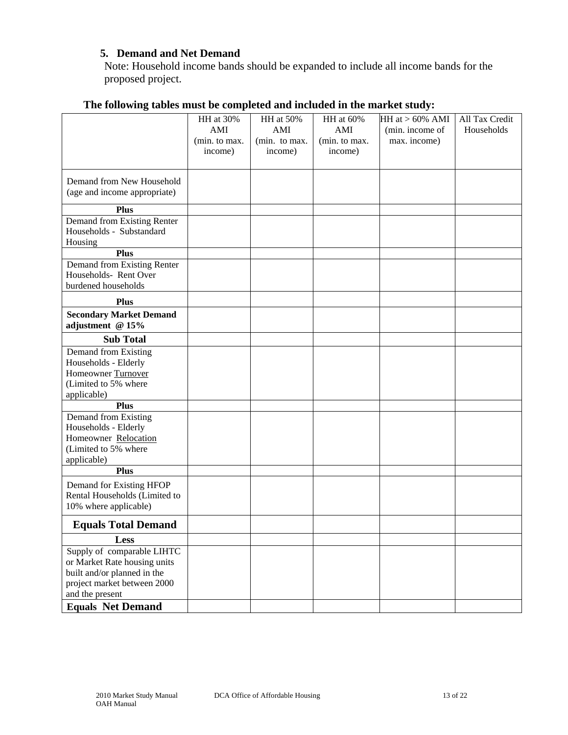## **5. Demand and Net Demand**

Note: Household income bands should be expanded to include all income bands for the proposed project.

|                                | HH at 30%     | HH at 50%     | HH at 60%     | HH at $> 60\%$ AMI | All Tax Credit |
|--------------------------------|---------------|---------------|---------------|--------------------|----------------|
|                                | AMI           | AMI           | AMI           | (min. income of    | Households     |
|                                | (min. to max. | (min. to max. | (min. to max. | max. income)       |                |
|                                | income)       | income)       | income)       |                    |                |
|                                |               |               |               |                    |                |
| Demand from New Household      |               |               |               |                    |                |
| (age and income appropriate)   |               |               |               |                    |                |
| <b>Plus</b>                    |               |               |               |                    |                |
| Demand from Existing Renter    |               |               |               |                    |                |
| Households - Substandard       |               |               |               |                    |                |
| Housing                        |               |               |               |                    |                |
| <b>Plus</b>                    |               |               |               |                    |                |
| Demand from Existing Renter    |               |               |               |                    |                |
| Households-Rent Over           |               |               |               |                    |                |
| burdened households            |               |               |               |                    |                |
| <b>Plus</b>                    |               |               |               |                    |                |
| <b>Secondary Market Demand</b> |               |               |               |                    |                |
| adjustment @ 15%               |               |               |               |                    |                |
| <b>Sub Total</b>               |               |               |               |                    |                |
| Demand from Existing           |               |               |               |                    |                |
| Households - Elderly           |               |               |               |                    |                |
| Homeowner Turnover             |               |               |               |                    |                |
| (Limited to 5% where           |               |               |               |                    |                |
| applicable)                    |               |               |               |                    |                |
| <b>Plus</b>                    |               |               |               |                    |                |
| Demand from Existing           |               |               |               |                    |                |
| Households - Elderly           |               |               |               |                    |                |
| Homeowner Relocation           |               |               |               |                    |                |
| (Limited to 5% where           |               |               |               |                    |                |
| applicable)<br><b>Plus</b>     |               |               |               |                    |                |
|                                |               |               |               |                    |                |
| Demand for Existing HFOP       |               |               |               |                    |                |
| Rental Households (Limited to  |               |               |               |                    |                |
| 10% where applicable)          |               |               |               |                    |                |
| <b>Equals Total Demand</b>     |               |               |               |                    |                |
| Less                           |               |               |               |                    |                |
| Supply of comparable LIHTC     |               |               |               |                    |                |
| or Market Rate housing units   |               |               |               |                    |                |
| built and/or planned in the    |               |               |               |                    |                |
| project market between 2000    |               |               |               |                    |                |
| and the present                |               |               |               |                    |                |
| <b>Equals Net Demand</b>       |               |               |               |                    |                |

# **The following tables must be completed and included in the market study:**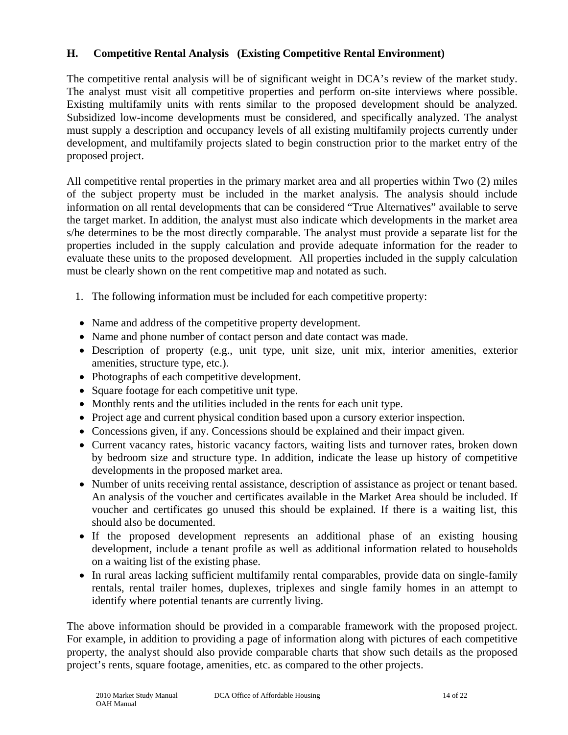## **H. Competitive Rental Analysis (Existing Competitive Rental Environment)**

The competitive rental analysis will be of significant weight in DCA's review of the market study. The analyst must visit all competitive properties and perform on-site interviews where possible. Existing multifamily units with rents similar to the proposed development should be analyzed. Subsidized low-income developments must be considered, and specifically analyzed. The analyst must supply a description and occupancy levels of all existing multifamily projects currently under development, and multifamily projects slated to begin construction prior to the market entry of the proposed project.

All competitive rental properties in the primary market area and all properties within Two (2) miles of the subject property must be included in the market analysis. The analysis should include information on all rental developments that can be considered "True Alternatives" available to serve the target market. In addition, the analyst must also indicate which developments in the market area s/he determines to be the most directly comparable. The analyst must provide a separate list for the properties included in the supply calculation and provide adequate information for the reader to evaluate these units to the proposed development. All properties included in the supply calculation must be clearly shown on the rent competitive map and notated as such.

- 1. The following information must be included for each competitive property:
- Name and address of the competitive property development.
- Name and phone number of contact person and date contact was made.
- Description of property (e.g., unit type, unit size, unit mix, interior amenities, exterior amenities, structure type, etc.).
- Photographs of each competitive development.
- Square footage for each competitive unit type.
- Monthly rents and the utilities included in the rents for each unit type.
- Project age and current physical condition based upon a cursory exterior inspection.
- Concessions given, if any. Concessions should be explained and their impact given.
- Current vacancy rates, historic vacancy factors, waiting lists and turnover rates, broken down by bedroom size and structure type. In addition, indicate the lease up history of competitive developments in the proposed market area.
- Number of units receiving rental assistance, description of assistance as project or tenant based. An analysis of the voucher and certificates available in the Market Area should be included. If voucher and certificates go unused this should be explained. If there is a waiting list, this should also be documented.
- If the proposed development represents an additional phase of an existing housing development, include a tenant profile as well as additional information related to households on a waiting list of the existing phase.
- In rural areas lacking sufficient multifamily rental comparables, provide data on single-family rentals, rental trailer homes, duplexes, triplexes and single family homes in an attempt to identify where potential tenants are currently living.

The above information should be provided in a comparable framework with the proposed project. For example, in addition to providing a page of information along with pictures of each competitive property, the analyst should also provide comparable charts that show such details as the proposed project's rents, square footage, amenities, etc. as compared to the other projects.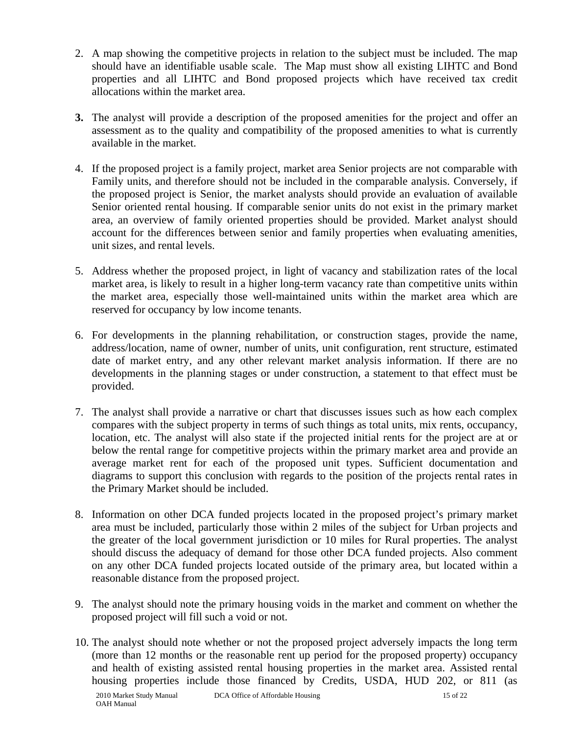- 2. A map showing the competitive projects in relation to the subject must be included. The map should have an identifiable usable scale. The Map must show all existing LIHTC and Bond properties and all LIHTC and Bond proposed projects which have received tax credit allocations within the market area.
- **3.** The analyst will provide a description of the proposed amenities for the project and offer an assessment as to the quality and compatibility of the proposed amenities to what is currently available in the market.
- 4. If the proposed project is a family project, market area Senior projects are not comparable with Family units, and therefore should not be included in the comparable analysis. Conversely, if the proposed project is Senior, the market analysts should provide an evaluation of available Senior oriented rental housing. If comparable senior units do not exist in the primary market area, an overview of family oriented properties should be provided. Market analyst should account for the differences between senior and family properties when evaluating amenities, unit sizes, and rental levels.
- 5. Address whether the proposed project, in light of vacancy and stabilization rates of the local market area, is likely to result in a higher long-term vacancy rate than competitive units within the market area, especially those well-maintained units within the market area which are reserved for occupancy by low income tenants.
- 6. For developments in the planning rehabilitation, or construction stages, provide the name, address/location, name of owner, number of units, unit configuration, rent structure, estimated date of market entry, and any other relevant market analysis information. If there are no developments in the planning stages or under construction, a statement to that effect must be provided.
- 7. The analyst shall provide a narrative or chart that discusses issues such as how each complex compares with the subject property in terms of such things as total units, mix rents, occupancy, location, etc. The analyst will also state if the projected initial rents for the project are at or below the rental range for competitive projects within the primary market area and provide an average market rent for each of the proposed unit types. Sufficient documentation and diagrams to support this conclusion with regards to the position of the projects rental rates in the Primary Market should be included.
- 8. Information on other DCA funded projects located in the proposed project's primary market area must be included, particularly those within 2 miles of the subject for Urban projects and the greater of the local government jurisdiction or 10 miles for Rural properties. The analyst should discuss the adequacy of demand for those other DCA funded projects. Also comment on any other DCA funded projects located outside of the primary area, but located within a reasonable distance from the proposed project.
- 9. The analyst should note the primary housing voids in the market and comment on whether the proposed project will fill such a void or not.
- 10. The analyst should note whether or not the proposed project adversely impacts the long term (more than 12 months or the reasonable rent up period for the proposed property) occupancy and health of existing assisted rental housing properties in the market area. Assisted rental housing properties include those financed by Credits, USDA, HUD 202, or 811 (as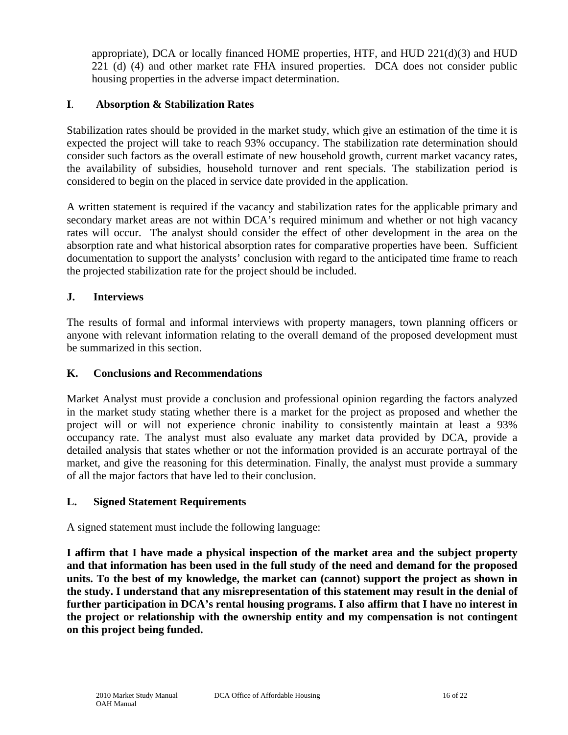appropriate), DCA or locally financed HOME properties, HTF, and HUD 221(d)(3) and HUD 221 (d) (4) and other market rate FHA insured properties. DCA does not consider public housing properties in the adverse impact determination.

## **I**. **Absorption & Stabilization Rates**

Stabilization rates should be provided in the market study, which give an estimation of the time it is expected the project will take to reach 93% occupancy. The stabilization rate determination should consider such factors as the overall estimate of new household growth, current market vacancy rates, the availability of subsidies, household turnover and rent specials. The stabilization period is considered to begin on the placed in service date provided in the application.

A written statement is required if the vacancy and stabilization rates for the applicable primary and secondary market areas are not within DCA's required minimum and whether or not high vacancy rates will occur. The analyst should consider the effect of other development in the area on the absorption rate and what historical absorption rates for comparative properties have been. Sufficient documentation to support the analysts' conclusion with regard to the anticipated time frame to reach the projected stabilization rate for the project should be included.

## **J. Interviews**

The results of formal and informal interviews with property managers, town planning officers or anyone with relevant information relating to the overall demand of the proposed development must be summarized in this section.

## **K. Conclusions and Recommendations**

Market Analyst must provide a conclusion and professional opinion regarding the factors analyzed in the market study stating whether there is a market for the project as proposed and whether the project will or will not experience chronic inability to consistently maintain at least a 93% occupancy rate. The analyst must also evaluate any market data provided by DCA, provide a detailed analysis that states whether or not the information provided is an accurate portrayal of the market, and give the reasoning for this determination. Finally, the analyst must provide a summary of all the major factors that have led to their conclusion.

## **L. Signed Statement Requirements**

A signed statement must include the following language:

**I affirm that I have made a physical inspection of the market area and the subject property and that information has been used in the full study of the need and demand for the proposed units. To the best of my knowledge, the market can (cannot) support the project as shown in the study. I understand that any misrepresentation of this statement may result in the denial of further participation in DCA's rental housing programs. I also affirm that I have no interest in the project or relationship with the ownership entity and my compensation is not contingent on this project being funded.**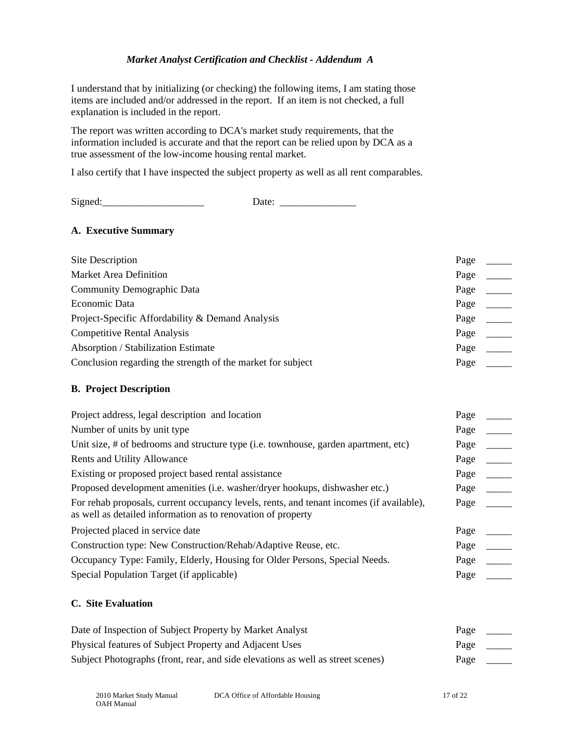#### *Market Analyst Certification and Checklist - Addendum A*

I understand that by initializing (or checking) the following items, I am stating those items are included and/or addressed in the report. If an item is not checked, a full explanation is included in the report.

The report was written according to DCA's market study requirements, that the information included is accurate and that the report can be relied upon by DCA as a true assessment of the low-income housing rental market.

I also certify that I have inspected the subject property as well as all rent comparables.

Signed:\_\_\_\_\_\_\_\_\_\_\_\_\_\_\_\_\_\_\_\_ Date: \_\_\_\_\_\_\_\_\_\_\_\_\_\_\_

#### **A. Executive Summary**

| Site Description                                            | Page |  |
|-------------------------------------------------------------|------|--|
| <b>Market Area Definition</b>                               | Page |  |
| <b>Community Demographic Data</b>                           | Page |  |
| Economic Data                                               | Page |  |
| Project-Specific Affordability & Demand Analysis            | Page |  |
| <b>Competitive Rental Analysis</b>                          | Page |  |
| Absorption / Stabilization Estimate                         | Page |  |
| Conclusion regarding the strength of the market for subject | Page |  |

#### **B. Project Description**

| Project address, legal description and location                                                                                                          | Page |  |
|----------------------------------------------------------------------------------------------------------------------------------------------------------|------|--|
| Number of units by unit type                                                                                                                             | Page |  |
| Unit size, # of bedrooms and structure type (i.e. townhouse, garden apartment, etc)                                                                      | Page |  |
| <b>Rents and Utility Allowance</b>                                                                                                                       | Page |  |
| Existing or proposed project based rental assistance                                                                                                     | Page |  |
| Proposed development amenities (i.e. washer/dryer hookups, dishwasher etc.)                                                                              | Page |  |
| For rehab proposals, current occupancy levels, rents, and tenant incomes (if available),<br>as well as detailed information as to renovation of property | Page |  |
| Projected placed in service date                                                                                                                         | Page |  |
| Construction type: New Construction/Rehab/Adaptive Reuse, etc.                                                                                           | Page |  |
| Occupancy Type: Family, Elderly, Housing for Older Persons, Special Needs.                                                                               | Page |  |
| Special Population Target (if applicable)                                                                                                                | Page |  |

#### **C. Site Evaluation**

| Date of Inspection of Subject Property by Market Analyst                        | Page |  |
|---------------------------------------------------------------------------------|------|--|
| Physical features of Subject Property and Adjacent Uses                         | Page |  |
| Subject Photographs (front, rear, and side elevations as well as street scenes) | Page |  |

2010 Market Study Manual DCA Office of Affordable Housing 17 of 22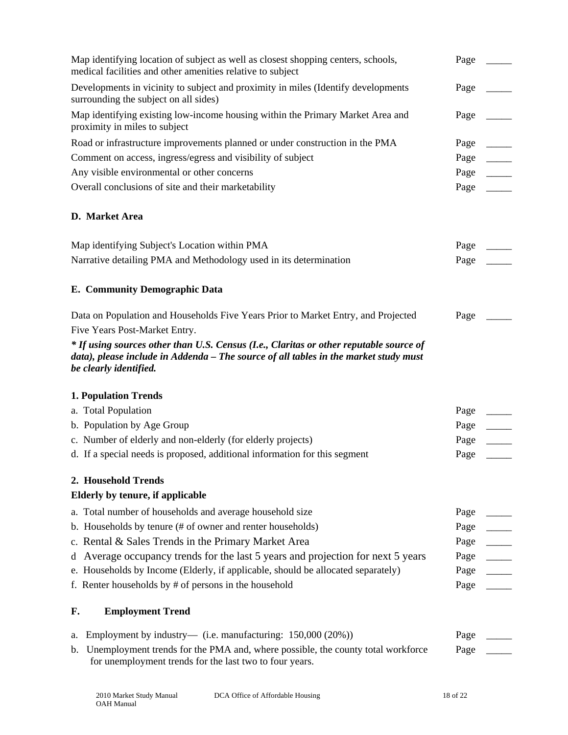| Map identifying location of subject as well as closest shopping centers, schools,<br>medical facilities and other amenities relative to subject                                                          | Page |
|----------------------------------------------------------------------------------------------------------------------------------------------------------------------------------------------------------|------|
| Developments in vicinity to subject and proximity in miles (Identify developments<br>surrounding the subject on all sides)                                                                               | Page |
| Map identifying existing low-income housing within the Primary Market Area and<br>proximity in miles to subject                                                                                          | Page |
| Road or infrastructure improvements planned or under construction in the PMA                                                                                                                             | Page |
| Comment on access, ingress/egress and visibility of subject                                                                                                                                              | Page |
| Any visible environmental or other concerns                                                                                                                                                              | Page |
| Overall conclusions of site and their marketability                                                                                                                                                      | Page |
| D. Market Area                                                                                                                                                                                           |      |
| Map identifying Subject's Location within PMA                                                                                                                                                            | Page |
| Narrative detailing PMA and Methodology used in its determination                                                                                                                                        | Page |
| <b>E. Community Demographic Data</b>                                                                                                                                                                     |      |
| Data on Population and Households Five Years Prior to Market Entry, and Projected                                                                                                                        | Page |
| Five Years Post-Market Entry.                                                                                                                                                                            |      |
| * If using sources other than U.S. Census (I.e., Claritas or other reputable source of<br>data), please include in Addenda – The source of all tables in the market study must<br>be clearly identified. |      |
| <b>1. Population Trends</b>                                                                                                                                                                              |      |
| a. Total Population                                                                                                                                                                                      | Page |
| b. Population by Age Group                                                                                                                                                                               | Page |
| c. Number of elderly and non-elderly (for elderly projects)                                                                                                                                              | Page |
| d. If a special needs is proposed, additional information for this segment                                                                                                                               | Page |
| 2. Household Trends                                                                                                                                                                                      |      |
| Elderly by tenure, if applicable                                                                                                                                                                         |      |
| a. Total number of households and average household size                                                                                                                                                 | Page |
| b. Households by tenure (# of owner and renter households)                                                                                                                                               | Page |
| c. Rental & Sales Trends in the Primary Market Area                                                                                                                                                      | Page |
| d Average occupancy trends for the last 5 years and projection for next 5 years                                                                                                                          | Page |
| e. Households by Income (Elderly, if applicable, should be allocated separately)                                                                                                                         | Page |
| f. Renter households by $#$ of persons in the household                                                                                                                                                  | Page |
| <b>Employment Trend</b><br>F.                                                                                                                                                                            |      |
| Employment by industry— (i.e. manufacturing: $150,000(20%)$ )<br>a.                                                                                                                                      | Page |
| Unemployment trends for the PMA and, where possible, the county total workforce<br>b.<br>for unemployment trends for the last two to four years.                                                         | Page |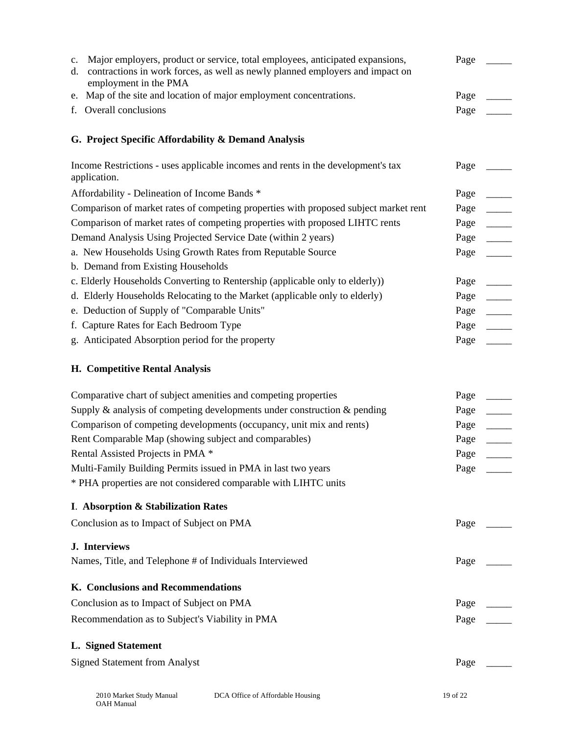| c.<br>d. | Major employers, product or service, total employees, anticipated expansions,<br>contractions in work forces, as well as newly planned employers and impact on<br>employment in the PMA | Page |
|----------|-----------------------------------------------------------------------------------------------------------------------------------------------------------------------------------------|------|
| e.       | Map of the site and location of major employment concentrations.                                                                                                                        | Page |
|          | f. Overall conclusions                                                                                                                                                                  | Page |
|          | G. Project Specific Affordability & Demand Analysis                                                                                                                                     |      |
|          | Income Restrictions - uses applicable incomes and rents in the development's tax<br>application.                                                                                        | Page |
|          | Affordability - Delineation of Income Bands *                                                                                                                                           | Page |
|          | Comparison of market rates of competing properties with proposed subject market rent                                                                                                    | Page |
|          | Comparison of market rates of competing properties with proposed LIHTC rents                                                                                                            | Page |
|          | Demand Analysis Using Projected Service Date (within 2 years)                                                                                                                           | Page |
|          | a. New Households Using Growth Rates from Reputable Source                                                                                                                              | Page |
|          | b. Demand from Existing Households                                                                                                                                                      |      |
|          | c. Elderly Households Converting to Rentership (applicable only to elderly))                                                                                                            | Page |
|          | d. Elderly Households Relocating to the Market (applicable only to elderly)                                                                                                             | Page |
|          | e. Deduction of Supply of "Comparable Units"                                                                                                                                            | Page |
|          | f. Capture Rates for Each Bedroom Type                                                                                                                                                  | Page |
|          | g. Anticipated Absorption period for the property                                                                                                                                       | Page |
|          | <b>H. Competitive Rental Analysis</b>                                                                                                                                                   |      |
|          | Comparative chart of subject amenities and competing properties                                                                                                                         | Page |
|          | Supply $\&$ analysis of competing developments under construction $\&$ pending                                                                                                          | Page |
|          | Comparison of competing developments (occupancy, unit mix and rents)                                                                                                                    | Page |
|          | Rent Comparable Map (showing subject and comparables)                                                                                                                                   | Page |
|          | Rental Assisted Projects in PMA *                                                                                                                                                       | Page |
|          | Multi-Family Building Permits issued in PMA in last two years                                                                                                                           | Page |
|          | * PHA properties are not considered comparable with LIHTC units                                                                                                                         |      |
|          | I. Absorption & Stabilization Rates                                                                                                                                                     |      |
|          | Conclusion as to Impact of Subject on PMA                                                                                                                                               | Page |
|          | <b>J.</b> Interviews                                                                                                                                                                    |      |
|          | Names, Title, and Telephone # of Individuals Interviewed                                                                                                                                | Page |
|          | K. Conclusions and Recommendations                                                                                                                                                      |      |
|          | Conclusion as to Impact of Subject on PMA                                                                                                                                               | Page |
|          | Recommendation as to Subject's Viability in PMA                                                                                                                                         | Page |
|          | <b>L. Signed Statement</b>                                                                                                                                                              |      |
|          | <b>Signed Statement from Analyst</b>                                                                                                                                                    | Page |
|          |                                                                                                                                                                                         |      |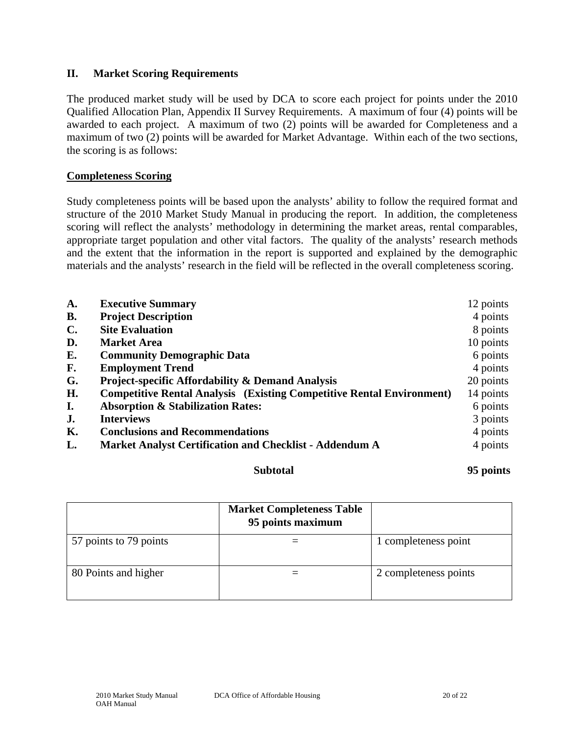#### **II. Market Scoring Requirements**

The produced market study will be used by DCA to score each project for points under the 2010 Qualified Allocation Plan, Appendix II Survey Requirements. A maximum of four (4) points will be awarded to each project. A maximum of two (2) points will be awarded for Completeness and a maximum of two (2) points will be awarded for Market Advantage. Within each of the two sections, the scoring is as follows:

#### **Completeness Scoring**

Study completeness points will be based upon the analysts' ability to follow the required format and structure of the 2010 Market Study Manual in producing the report. In addition, the completeness scoring will reflect the analysts' methodology in determining the market areas, rental comparables, appropriate target population and other vital factors. The quality of the analysts' research methods and the extent that the information in the report is supported and explained by the demographic materials and the analysts' research in the field will be reflected in the overall completeness scoring.

| A.             | <b>Executive Summary</b>                                                     | 12 points |
|----------------|------------------------------------------------------------------------------|-----------|
| <b>B.</b>      | <b>Project Description</b>                                                   | 4 points  |
| $\mathbf{C}$ . | <b>Site Evaluation</b>                                                       | 8 points  |
| D.             | <b>Market Area</b>                                                           | 10 points |
| Е.             | <b>Community Demographic Data</b>                                            | 6 points  |
| F.             | <b>Employment Trend</b>                                                      | 4 points  |
| G.             | <b>Project-specific Affordability &amp; Demand Analysis</b>                  | 20 points |
| Н.             | <b>Competitive Rental Analysis (Existing Competitive Rental Environment)</b> | 14 points |
| I.             | <b>Absorption &amp; Stabilization Rates:</b>                                 | 6 points  |
| J.             | <b>Interviews</b>                                                            | 3 points  |
| К.             | <b>Conclusions and Recommendations</b>                                       | 4 points  |
| L.             | <b>Market Analyst Certification and Checklist - Addendum A</b>               | 4 points  |
|                |                                                                              |           |

#### **Subtotal 95 points**

|                        | <b>Market Completeness Table</b><br>95 points maximum |                       |
|------------------------|-------------------------------------------------------|-----------------------|
| 57 points to 79 points |                                                       | 1 completeness point  |
| 80 Points and higher   |                                                       | 2 completeness points |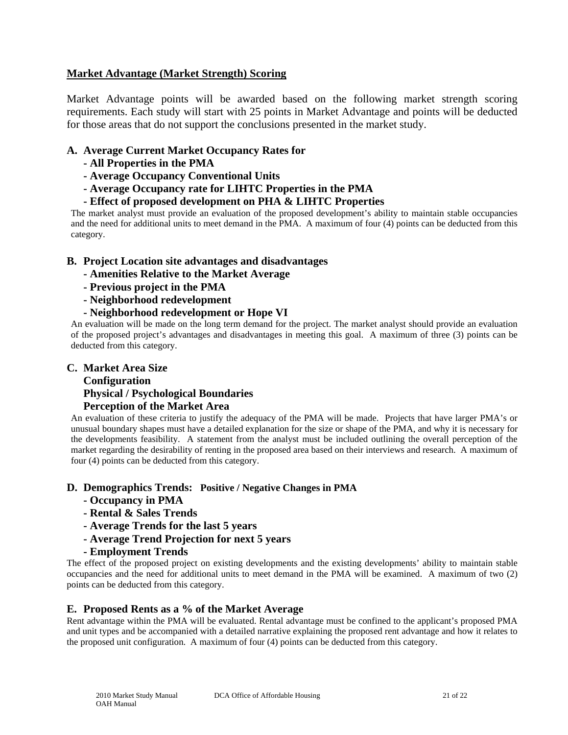#### **Market Advantage (Market Strength) Scoring**

Market Advantage points will be awarded based on the following market strength scoring requirements. Each study will start with 25 points in Market Advantage and points will be deducted for those areas that do not support the conclusions presented in the market study.

#### **A. Average Current Market Occupancy Rates for**

- **All Properties in the PMA**
- **Average Occupancy Conventional Units**
- **Average Occupancy rate for LIHTC Properties in the PMA**
- **Effect of proposed development on PHA & LIHTC Properties**

The market analyst must provide an evaluation of the proposed development's ability to maintain stable occupancies and the need for additional units to meet demand in the PMA. A maximum of four (4) points can be deducted from this category.

#### **B. Project Location site advantages and disadvantages**

- **Amenities Relative to the Market Average**
- **Previous project in the PMA**
- **Neighborhood redevelopment**
- **Neighborhood redevelopment or Hope VI**

An evaluation will be made on the long term demand for the project. The market analyst should provide an evaluation of the proposed project's advantages and disadvantages in meeting this goal. A maximum of three (3) points can be deducted from this category.

#### **C. Market Area Size**

## **Configuration Physical / Psychological Boundaries Perception of the Market Area**

An evaluation of these criteria to justify the adequacy of the PMA will be made. Projects that have larger PMA's or unusual boundary shapes must have a detailed explanation for the size or shape of the PMA, and why it is necessary for the developments feasibility. A statement from the analyst must be included outlining the overall perception of the market regarding the desirability of renting in the proposed area based on their interviews and research. A maximum of four (4) points can be deducted from this category.

#### **D. Demographics Trends: Positive / Negative Changes in PMA**

- **Occupancy in PMA**
- **Rental & Sales Trends**
- **Average Trends for the last 5 years**
- **Average Trend Projection for next 5 years**
- **Employment Trends**

The effect of the proposed project on existing developments and the existing developments' ability to maintain stable occupancies and the need for additional units to meet demand in the PMA will be examined. A maximum of two (2) points can be deducted from this category.

#### **E. Proposed Rents as a % of the Market Average**

Rent advantage within the PMA will be evaluated. Rental advantage must be confined to the applicant's proposed PMA and unit types and be accompanied with a detailed narrative explaining the proposed rent advantage and how it relates to the proposed unit configuration. A maximum of four (4) points can be deducted from this category.